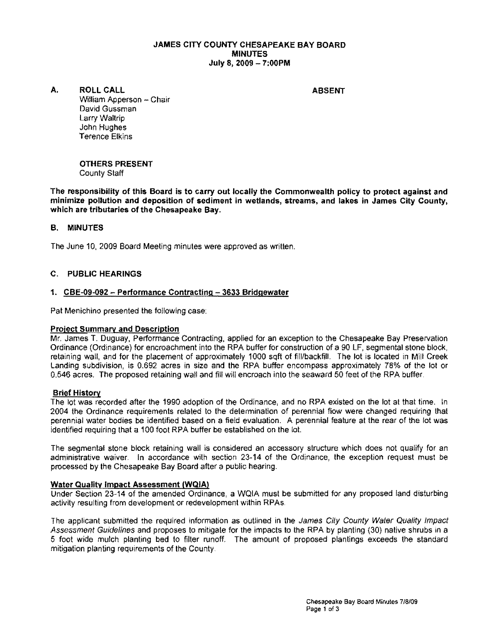### JAMES CITY COUNTY CHESAPEAKE BAY BOARD MINUTES July 8, 2009 - 7:00PM

### A. ROLL CALL ABSENT

William Apperson - Chair David Gussman Larry Waltrip John Hughes Terence Elkins

OTHERS PRESENT County Staff

The responsibility of this Board is to carry out locally the Commonwealth policy to protect against and minimize pollution and deposition of sediment in wetlands, streams, and lakes in James City County, which are tributaries of the Chesapeake Bay.

## B. MINUTES

The June 10, 2009 Board Meeting minutes were approved as written.

## C. PUBLIC HEARINGS

# 1. CBE-09-092 - Performance Contracting - 3633 Bridgewater

Pat Menichino presented the following case:

### Project Summary and Description

Mr. James T. Duguay, Performance Contracting, applied for an exception to the Chesapeake Bay Preservation Ordinance (Ordinance) for encroachment into the RPA buffer for construction of a 90 LF, segmental stone block, retaining wall, and for the placement of approximately 1000 sqft of fill/backfill. The lot is located in Mill Creek Landing subdivision, is 0.692 acres in size and the RPA buffer encompass approximately 76% of the lot or 0.546 acres. The proposed retaining wall and fill will encroach into the seaward 50 feet of the RPA buffer.

### Brief History

The lot was recorded after the 1990 adoption of the Ordinance, and no RPA existed on the lot at that time. In 2004 the Ordinance requirements related to the determination of perennial flow were changed requiring that perennial water bodies be identified based on a field evaluation. A perennial feature at the rear of the lot was identified requiring that a 100 foot RPA buffer be established on the 101.

The segmental stone block retaining wall is considered an accessory structure which does not qualify for an administrative waiver. In accordance with section 23-14 of the Ordinance, the exception request must be processed by the Chesapeake Bay Board after a public hearing.

### Water Quality Impact Assessment (WgIA)

Under Section 23-14 of the amended Ordinance, a WQIA must be submitted for any proposed land disturbing activity resulting from development or redevelopment within RPAs.

The applicant submitted the required information as outlined in the James City County Water Quality Impact Assessment Guidelines and proposes to mitigate for the impacts to the RPA by planting (30) native shrubs in a 5 foot wide mulch planting bed to filter runoff, The amount of proposed plantings exceeds the standard mitigation planting requirements of the County.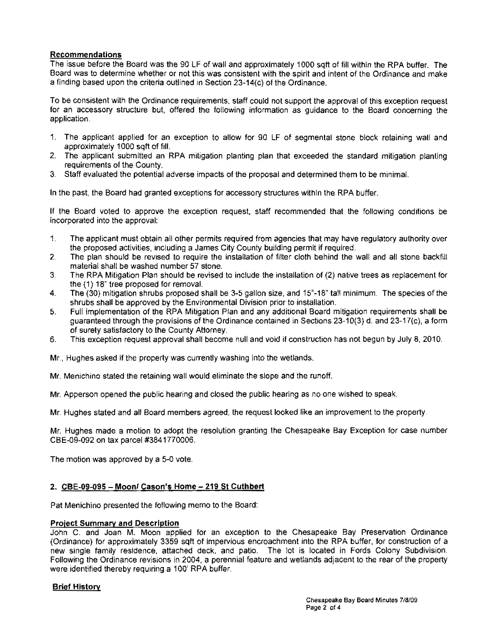## Recommendations

The issue before the Board was the 90 LF of wall and approximately 1000 sqft of fill within the RPA buffer. The Board was to determine whether or not this was consistent with the spirit and intent of the Ordinance and make a finding based upon the criteria outlined in Section 23-14(c) of the Ordinance.

To be consistent with the Ordinance requirements, staff could not support the approval of this exception request for an accessory structure but, offered the following information as guidance to the Board concerning the application.

- 1. The applicant applied for an exception to allow for 90 LF of segmental stone block retaining wall and approximately 1000 sqft of fill.
- 2. The applicant submitted an RPA mitigation planting plan that exceeded the standard mitigation planting requirements of the County.
- 3. Staff evaluated the potential adverse impacts of the proposal and determined them to be minimal.

In the past, the Board had granted exceptions for accessory structures within the RPA buffer.

If the Board voted to approve the exception request, staff recommended that the following conditions be incorporated into the approval:

- 1. The applicant must obtain all other permits required from agencies that may have requiatory authority over the proposed activities, including a James City County building permit if required.
- 2. The plan should be revised to require the installation of filter cloth behind the wall and all stone backfill material shall be washed number 57 stone.
- 3. The RPA Mitigation Plan should be revised to include the installation of (2) native trees as replacement for the (1) 18" tree proposed for removal.
- 4. The (30) mitigation shrubs proposed shall be 3-5 gallon size, and 15"-18" tall minimum. The species of the shrubs shall be approved by the Environmental Division prior to installation.
- 5. Full implementation of the RPA Mitigation Plan and any additional Board mitigation requirements shall be guaranteed through the provisions of the Ordinance contained in Sections 23-10(3) d. and 23-17(c), a form of surety satisfactory to the County Attorney.
- 6. This exception request approval shall become null and void if construction has not begun by July 8, 2010.

Mr, Hughes asked if the property was currently washing into the wetlands.

Me Menichino stated the retaining wall would eliminate the slope and the runoff.

Mr. Apperson opened the public hearing and closed the public hearing as no one wished to speak.

Mr. Hughes stated and all Board members agreed, the request looked like an improvement to the property.

Mr. Hughes made a motion to adopt the resolution granting the Chesapeake Bay Exception for case number CBE-09-092 on tax parcel #3841770006.

The motion was approved by a 5-0 vote.

### 2. CBE-09-095 - Moon/ Cason's Home - 219 St Cuthbert

Pat Menichino presented the following memo to the Board:

#### Project Summary and Description

John C. and Joan M. Moon applied for an exception to the Chesapeake Bay Preservation Ordinance (Ordinance) for approximately 3359 sqft of impervious encroachment into the RPA buffer, for construction of a new single family residence, attached deck, and patio. The lot is located in Fords Colony Subdivision. Following the Ordinance revisions in 2004, a perennial feature and wetlands adjacent to the rear of the property were identified thereby requiring a 100' RPA buffer.

### Brief History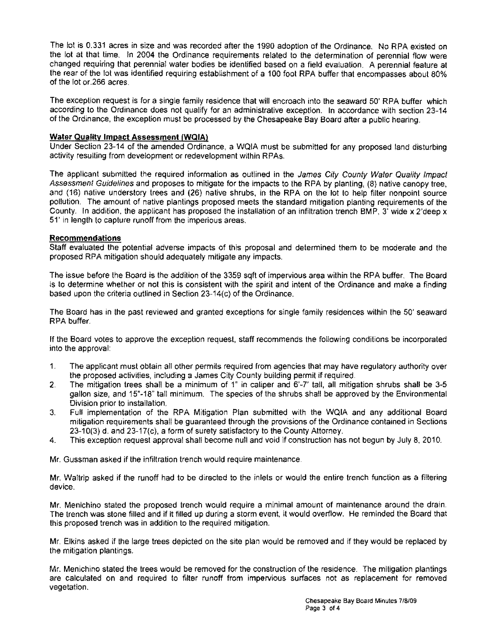The lot is 0.331 acres in size and was recorded after the 1990 adoption of the Ordinance. No RPA existed on the lot at that time. In 2004 the Ordinance requirements related to the determination of perennial flow were changed requiring that perennial water bodies be identified based on a field evaluation. A perennial feature at the rear of the lot was identified requiring establlshment of a 100 foot RPA buffer that encompasses about 80% of the lot or.266 acres.

The exception request is for a single family residence that will encroach Into the seaward 50' RPA buffer which according to the Ordinance does not qualify for an administrative exception. In accordance with section 23-14 of the Ordinance, the exception must be processed by the Chesapeake Bay Board after a public hearing.

### **Water Quality Impact Assessment (WQIA)**

Under Section 23-14 of the amended Ordinance, a WQIA must be submitted for any proposed land disturbing activity resulting from development or redevelopment within RPAs.

The applicant submitted the required information as outlined in the James City County Water Quality Impact Assessment Guidelines and proposes to mitigate for the impacts to the RPA by planting, (8) native canopy tree, and (16) native understory trees and (26) native shrubs, in the RPA on the lot to help filter nonpoint source pollution. The amount of native plantings proposed meets the standard mitigation planting requirements of the County. In addition, the applicant has proposed the installation of an infiltration trench BMP, 3' wide  $x$  2'deep  $x$ 51' in length to capture runoff from the imperious areas.

#### **Recommendations**

Staff evaluated the potential adverse impacts of this proposal and determined them to be moderate and the proposed RPA mitigation should adequately mitigate any impacts.

The Issue before the Board is the addition of the 3359 sqft of impervious area within the RPA buffer. The Board is to determine whether or not this is consistent with the spirit and intent of the Ordinance and make a finding based upon the criteria outlined in Section 23-14(c) of the Ordinance.

The Board has in the past reviewed and granted exceptions for single family residences within the 50' seaward RPA buffer.

If the Board votes to approve the exception request, staff recommends the following conditions be incorporated into the approval:

- 1. The applicant must obtain all other permits required from agencies that may have regulatory authority over the proposed activities, including a James City County building permit if required.
- 2. The mitigation trees shall be a minimum of 1" in caliper and 6'-7' tall, all mitigation shrubs shall be 3-5 gallon size, and 15"-18" tall minimum. The species of the shrubs shall be approved by the Environmental Division prior to installation.
- 3. Full implementation of the RPA Mitigation Plan submitted with the WQIA and any additional Board mitigation requirements shall be guaranteed through the provisions of the Ordinance contained in Sections 23-10(3) d. and 23-17(c), a form of surety satisfactory to the County Attorney.
- 4. This exception request approval shall become null and void if construction has not begun by July 8, 2010.

Mr. Gussman asked if the infiltration trench would require maintenance

Mr. Waltrip asked if the runoff had to be directed to the inlets or would the entire trench function as a filtering device.

Mr. Menichino stated the proposed trench would require a minimal amount of maintenance around the drain. The trench was stone filled and if it filled up during a storm event, It would overflow. He reminded the Board that this proposed trench was in addition to the required mitigation.

Mr. Elkins asked if the large trees depicted on the site plan would be removed and if they would be replaced by the mitigation plantings.

Mr. Menichino stated the trees would be removed for the construction of the residence. The mitigation plantings are calculated on and required to filter runoff from impervious surfaces not as replacement for removed vegetation.